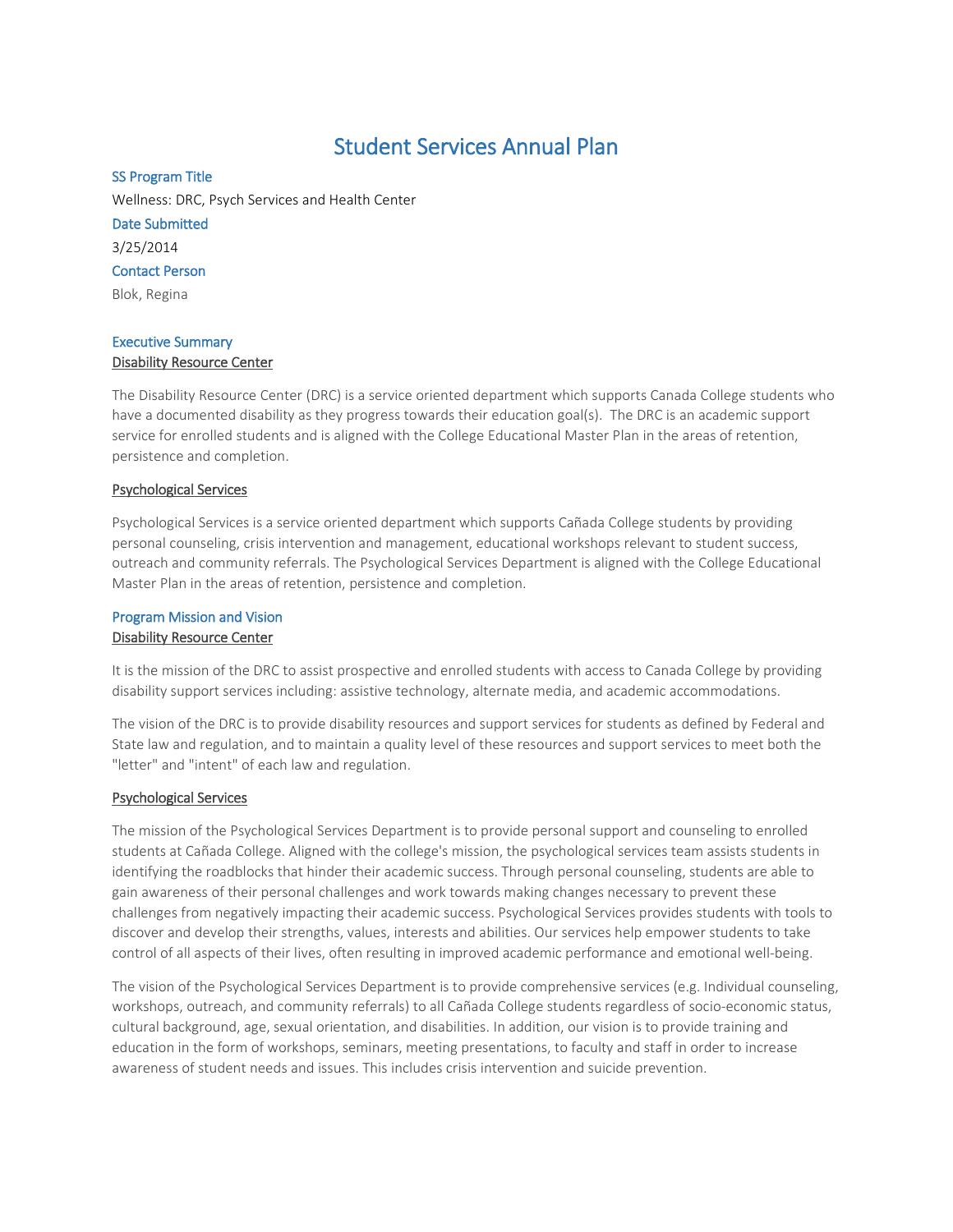# Student Services Annual Plan

## SS Program Title

Wellness: DRC, Psych Services and Health Center Date Submitted 3/25/2014 Contact Person

Blok, Regina

## Executive Summary Disability Resource Center

The Disability Resource Center (DRC) is a service oriented department which supports Canada College students who have a documented disability as they progress towards their education goal(s). The DRC is an academic support service for enrolled students and is aligned with the College Educational Master Plan in the areas of retention, persistence and completion.

## Psychological Services

Psychological Services is a service oriented department which supports Cañada College students by providing personal counseling, crisis intervention and management, educational workshops relevant to student success, outreach and community referrals. The Psychological Services Department is aligned with the College Educational Master Plan in the areas of retention, persistence and completion.

# Program Mission and Vision Disability Resource Center

It is the mission of the DRC to assist prospective and enrolled students with access to Canada College by providing disability support services including: assistive technology, alternate media, and academic accommodations.

The vision of the DRC is to provide disability resources and support services for students as defined by Federal and State law and regulation, and to maintain a quality level of these resources and support services to meet both the "letter" and "intent" of each law and regulation.

## Psychological Services

The mission of the Psychological Services Department is to provide personal support and counseling to enrolled students at Cañada College. Aligned with the college's mission, the psychological services team assists students in identifying the roadblocks that hinder their academic success. Through personal counseling, students are able to gain awareness of their personal challenges and work towards making changes necessary to prevent these challenges from negatively impacting their academic success. Psychological Services provides students with tools to discover and develop their strengths, values, interests and abilities. Our services help empower students to take control of all aspects of their lives, often resulting in improved academic performance and emotional well-being.

The vision of the Psychological Services Department is to provide comprehensive services (e.g. Individual counseling, workshops, outreach, and community referrals) to all Cañada College students regardless of socio-economic status, cultural background, age, sexual orientation, and disabilities. In addition, our vision is to provide training and education in the form of workshops, seminars, meeting presentations, to faculty and staff in order to increase awareness of student needs and issues. This includes crisis intervention and suicide prevention.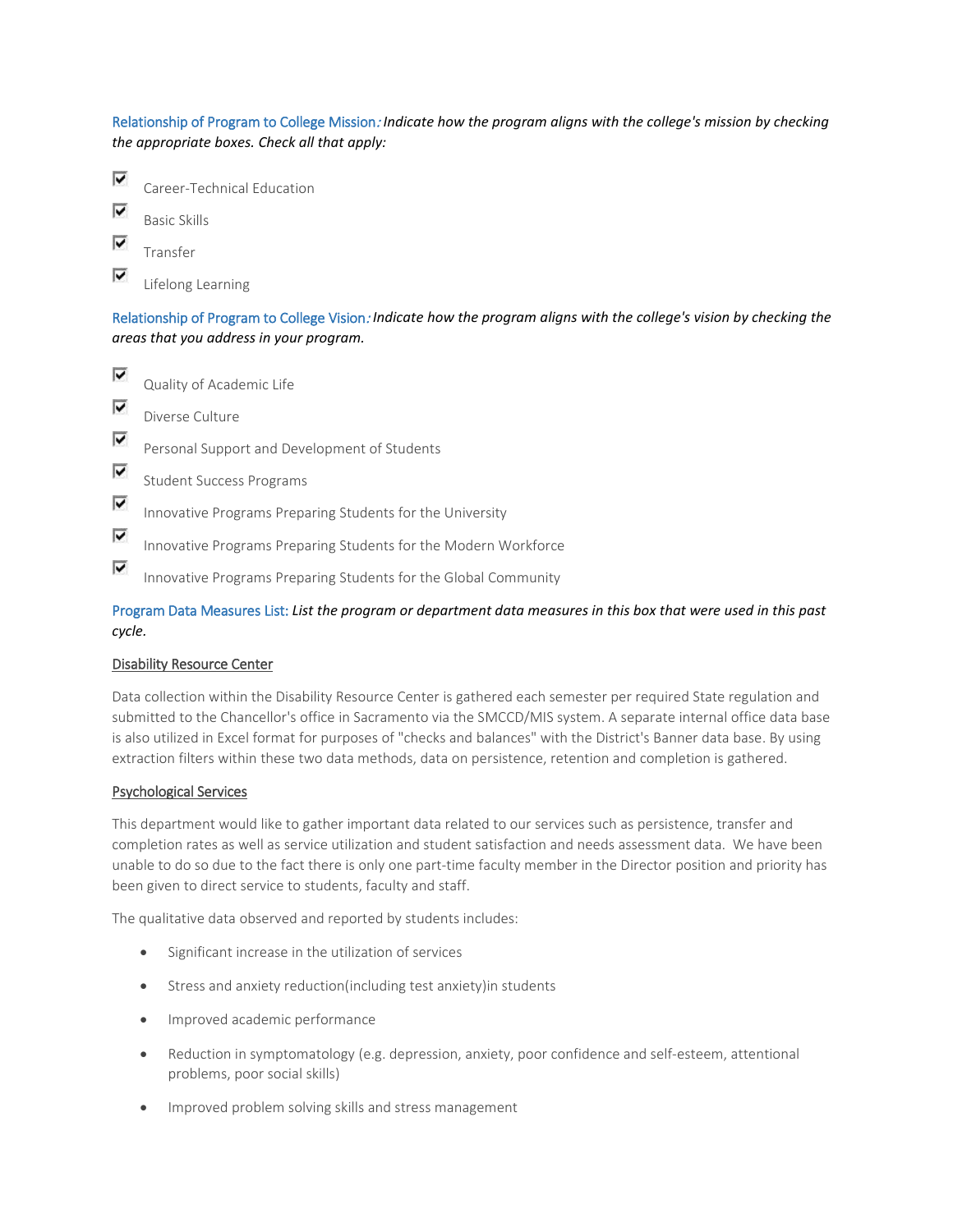Relationship of Program to College Mission: *Indicate how the program aligns with the college's mission by checking the appropriate boxes. Check all that apply:*



Lifelong Learning

Relationship of Program to College Vision: *Indicate how the program aligns with the college's vision by checking the areas that you address in your program.*

⊽ Quality of Academic Life ⊽ Diverse Culture ⊽ Personal Support and Development of Students ⊽ Student Success Programs ⊽ Innovative Programs Preparing Students for the University ⊽ Innovative Programs Preparing Students for the Modern Workforce ⊽ Innovative Programs Preparing Students for the Global Community

Program Data Measures List: *List the program or department data measures in this box that were used in this past cycle.*

#### Disability Resource Center

Data collection within the Disability Resource Center is gathered each semester per required State regulation and submitted to the Chancellor's office in Sacramento via the SMCCD/MIS system. A separate internal office data base is also utilized in Excel format for purposes of "checks and balances" with the District's Banner data base. By using extraction filters within these two data methods, data on persistence, retention and completion is gathered.

#### Psychological Services

This department would like to gather important data related to our services such as persistence, transfer and completion rates as well as service utilization and student satisfaction and needs assessment data. We have been unable to do so due to the fact there is only one part-time faculty member in the Director position and priority has been given to direct service to students, faculty and staff.

The qualitative data observed and reported by students includes:

- Significant increase in the utilization of services
- Stress and anxiety reduction(including test anxiety)in students
- Improved academic performance
- Reduction in symptomatology (e.g. depression, anxiety, poor confidence and self-esteem, attentional problems, poor social skills)
- Improved problem solving skills and stress management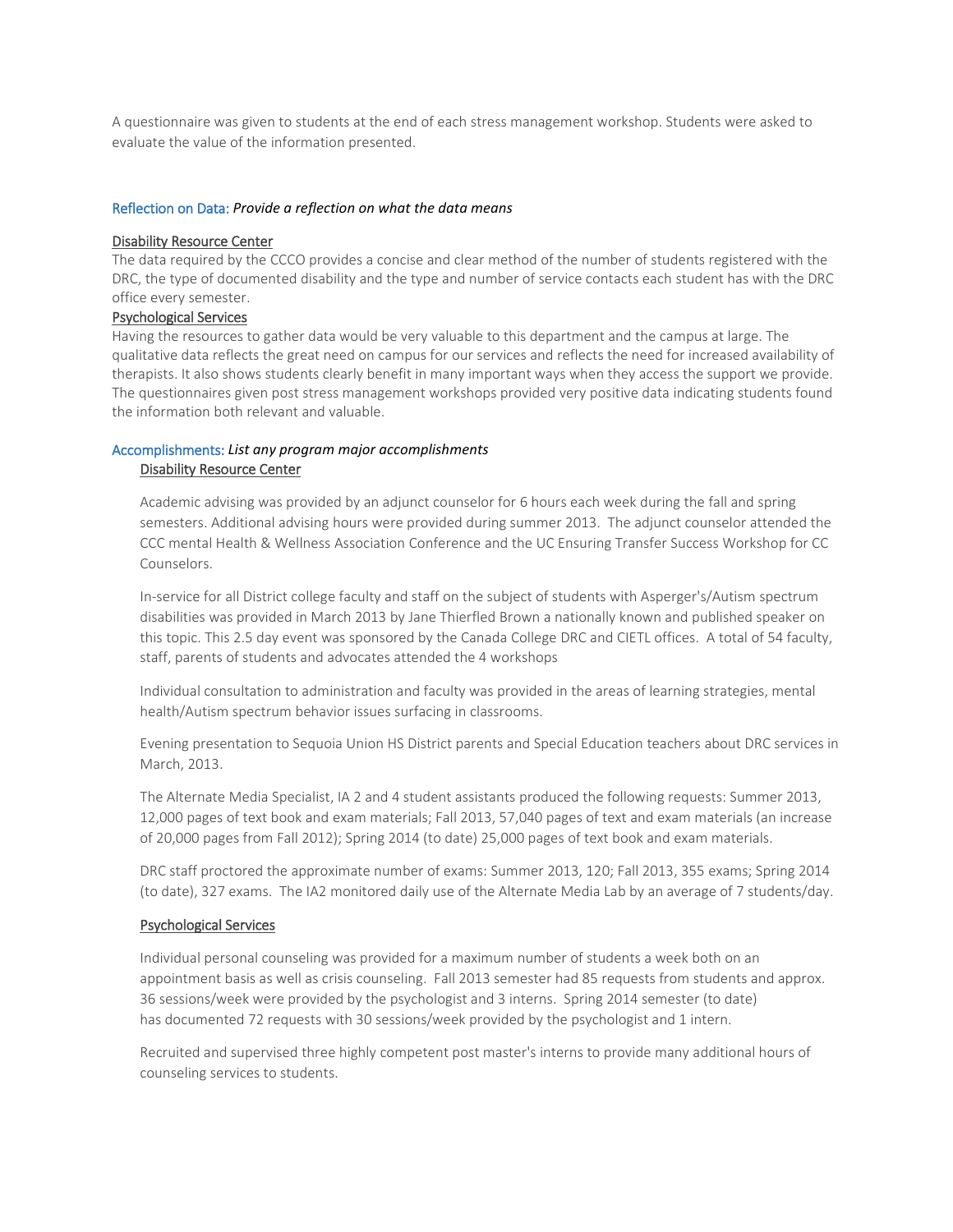A questionnaire was given to students at the end of each stress management workshop. Students were asked to evaluate the value of the information presented.

#### Reflection on Data: *Provide a reflection on what the data means*

#### Disability Resource Center

The data required by the CCCO provides a concise and clear method of the number of students registered with the DRC, the type of documented disability and the type and number of service contacts each student has with the DRC office every semester.

#### Psychological Services

Having the resources to gather data would be very valuable to this department and the campus at large. The qualitative data reflects the great need on campus for our services and reflects the need for increased availability of therapists. It also shows students clearly benefit in many important ways when they access the support we provide. The questionnaires given post stress management workshops provided very positive data indicating students found the information both relevant and valuable.

# Accomplishments: *List any program major accomplishments* Disability Resource Center

Academic advising was provided by an adjunct counselor for 6 hours each week during the fall and spring semesters. Additional advising hours were provided during summer 2013. The adjunct counselor attended the CCC mental Health & Wellness Association Conference and the UC Ensuring Transfer Success Workshop for CC Counselors.

In-service for all District college faculty and staff on the subject of students with Asperger's/Autism spectrum disabilities was provided in March 2013 by Jane Thierfled Brown a nationally known and published speaker on this topic. This 2.5 day event was sponsored by the Canada College DRC and CIETL offices. A total of 54 faculty, staff, parents of students and advocates attended the 4 workshops

Individual consultation to administration and faculty was provided in the areas of learning strategies, mental health/Autism spectrum behavior issues surfacing in classrooms.

Evening presentation to Sequoia Union HS District parents and Special Education teachers about DRC services in March, 2013.

The Alternate Media Specialist, IA 2 and 4 student assistants produced the following requests: Summer 2013, 12,000 pages of text book and exam materials; Fall 2013, 57,040 pages of text and exam materials (an increase of 20,000 pages from Fall 2012); Spring 2014 (to date) 25,000 pages of text book and exam materials.

DRC staff proctored the approximate number of exams: Summer 2013, 120; Fall 2013, 355 exams; Spring 2014 (to date), 327 exams. The IA2 monitored daily use of the Alternate Media Lab by an average of 7 students/day.

## Psychological Services

Individual personal counseling was provided for a maximum number of students a week both on an appointment basis as well as crisis counseling. Fall 2013 semester had 85 requests from students and approx. 36 sessions/week were provided by the psychologist and 3 interns. Spring 2014 semester (to date) has documented 72 requests with 30 sessions/week provided by the psychologist and 1 intern.

Recruited and supervised three highly competent post master's interns to provide many additional hours of counseling services to students.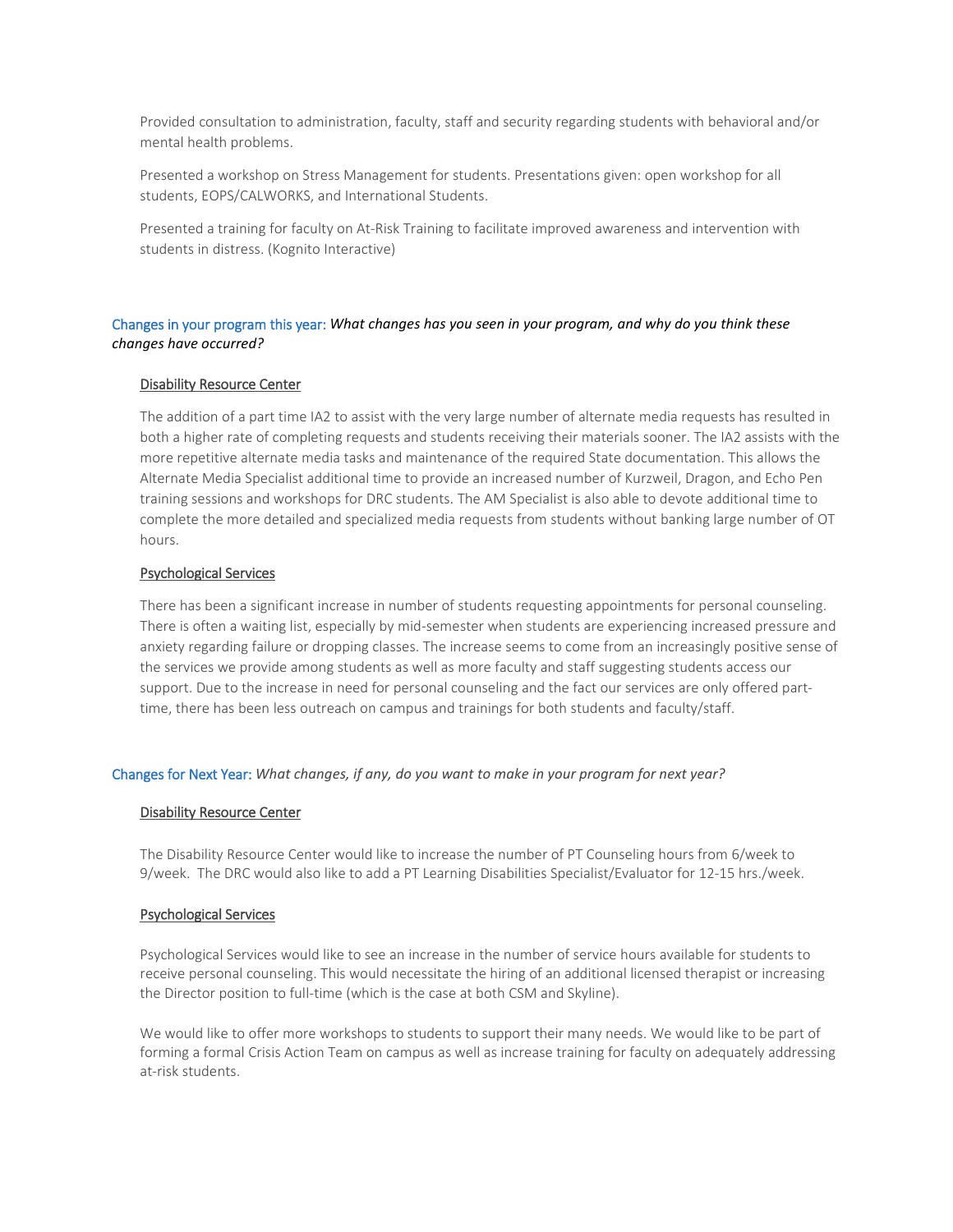Provided consultation to administration, faculty, staff and security regarding students with behavioral and/or mental health problems.

Presented a workshop on Stress Management for students. Presentations given: open workshop for all students, EOPS/CALWORKS, and International Students.

Presented a training for faculty on At-Risk Training to facilitate improved awareness and intervention with students in distress. (Kognito Interactive)

## Changes in your program this year: *What changes has you seen in your program, and why do you think these changes have occurred?*

## Disability Resource Center

The addition of a part time IA2 to assist with the very large number of alternate media requests has resulted in both a higher rate of completing requests and students receiving their materials sooner. The IA2 assists with the more repetitive alternate media tasks and maintenance of the required State documentation. This allows the Alternate Media Specialist additional time to provide an increased number of Kurzweil, Dragon, and Echo Pen training sessions and workshops for DRC students. The AM Specialist is also able to devote additional time to complete the more detailed and specialized media requests from students without banking large number of OT hours.

## Psychological Services

There has been a significant increase in number of students requesting appointments for personal counseling. There is often a waiting list, especially by mid-semester when students are experiencing increased pressure and anxiety regarding failure or dropping classes. The increase seems to come from an increasingly positive sense of the services we provide among students as well as more faculty and staff suggesting students access our support. Due to the increase in need for personal counseling and the fact our services are only offered parttime, there has been less outreach on campus and trainings for both students and faculty/staff.

#### Changes for Next Year: *What changes, if any, do you want to make in your program for next year?*

#### Disability Resource Center

The Disability Resource Center would like to increase the number of PT Counseling hours from 6/week to 9/week. The DRC would also like to add a PT Learning Disabilities Specialist/Evaluator for 12-15 hrs./week.

#### Psychological Services

Psychological Services would like to see an increase in the number of service hours available for students to receive personal counseling. This would necessitate the hiring of an additional licensed therapist or increasing the Director position to full-time (which is the case at both CSM and Skyline).

We would like to offer more workshops to students to support their many needs. We would like to be part of forming a formal Crisis Action Team on campus as well as increase training for faculty on adequately addressing at-risk students.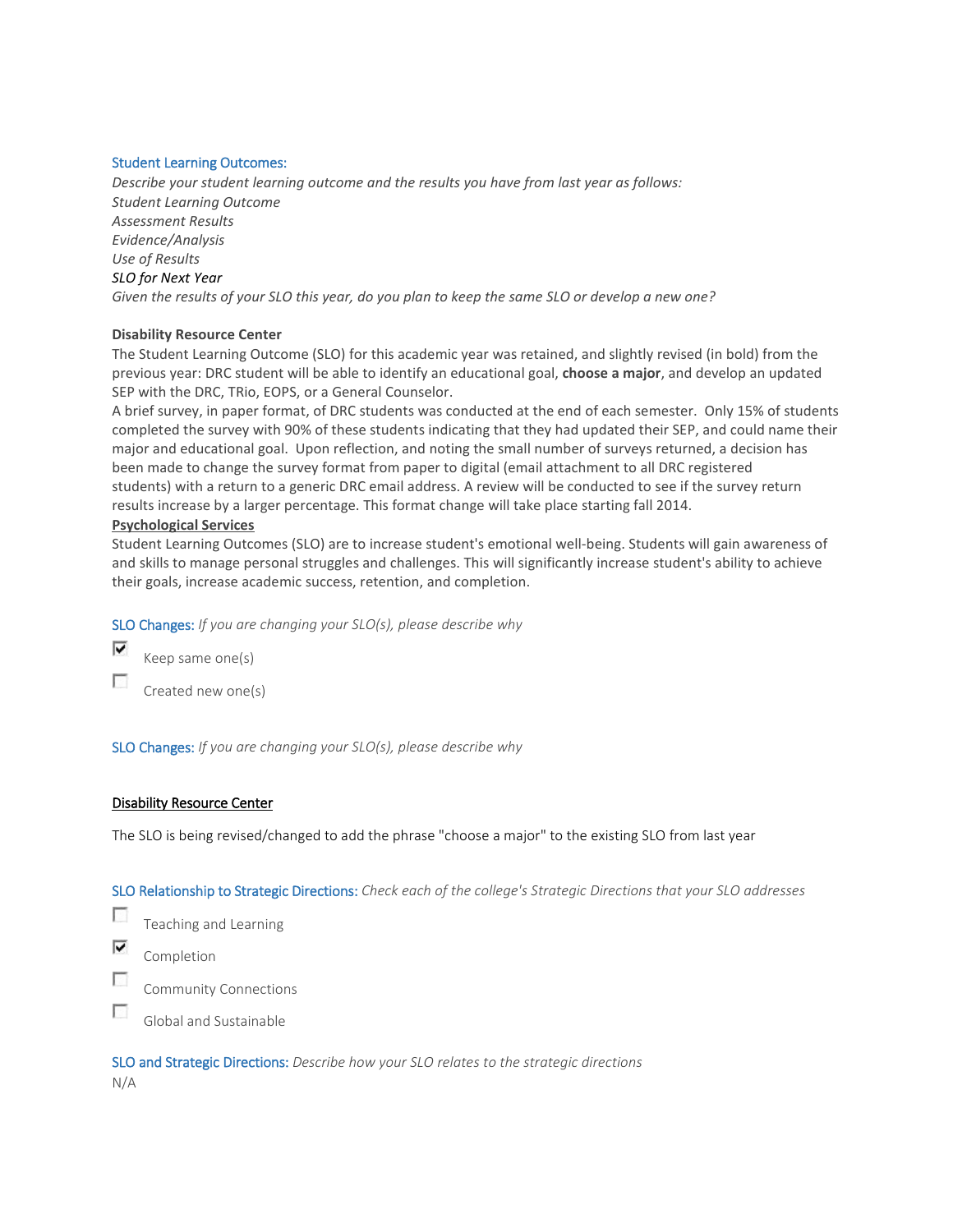## Student Learning Outcomes:

*Describe your student learning outcome and the results you have from last year as follows: Student Learning Outcome Assessment Results Evidence/Analysis Use of Results SLO for Next Year Given the results of your SLO this year, do you plan to keep the same SLO or develop a new one?*

## **Disability Resource Center**

The Student Learning Outcome (SLO) for this academic year was retained, and slightly revised (in bold) from the previous year: DRC student will be able to identify an educational goal, **choose a major**, and develop an updated SEP with the DRC, TRio, EOPS, or a General Counselor.

A brief survey, in paper format, of DRC students was conducted at the end of each semester. Only 15% of students completed the survey with 90% of these students indicating that they had updated their SEP, and could name their major and educational goal. Upon reflection, and noting the small number of surveys returned, a decision has been made to change the survey format from paper to digital (email attachment to all DRC registered students) with a return to a generic DRC email address. A review will be conducted to see if the survey return results increase by a larger percentage. This format change will take place starting fall 2014.

## **Psychological Services**

Student Learning Outcomes (SLO) are to increase student's emotional well-being. Students will gain awareness of and skills to manage personal struggles and challenges. This will significantly increase student's ability to achieve their goals, increase academic success, retention, and completion.

SLO Changes: *If you are changing your SLO(s), please describe why*



Created new one(s)

SLO Changes: *If you are changing your SLO(s), please describe why*

## Disability Resource Center

The SLO is being revised/changed to add the phrase "choose a major" to the existing SLO from last year

SLO Relationship to Strategic Directions: *Check each of the college's Strategic Directions that your SLO addresses*

 $\overline{\mathcal{L}}$ Teaching and Learning

⊽ Completion

Г Community Connections

п Global and Sustainable

SLO and Strategic Directions: *Describe how your SLO relates to the strategic directions* N/A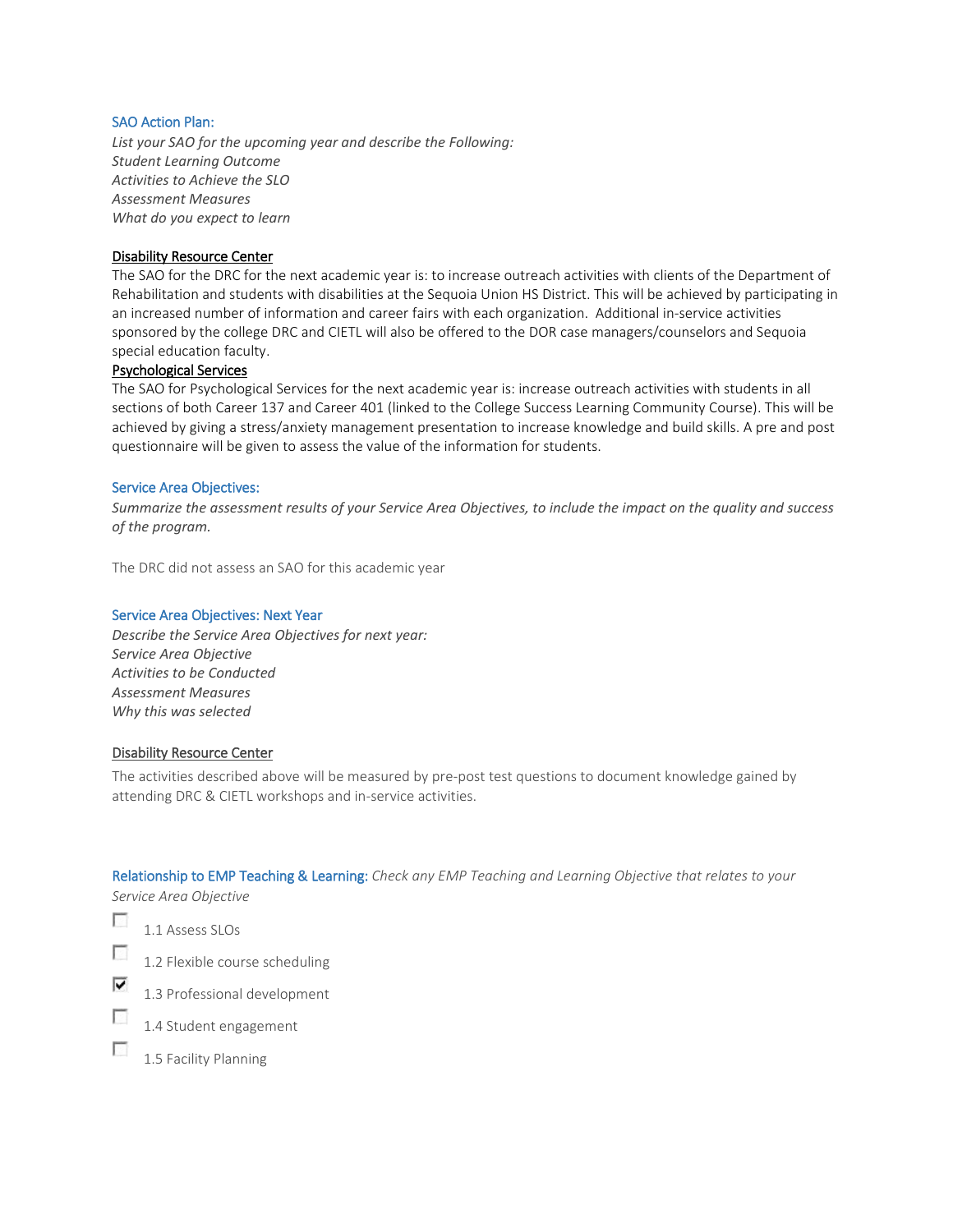## SAO Action Plan:

*List your SAO for the upcoming year and describe the Following: Student Learning Outcome Activities to Achieve the SLO Assessment Measures What do you expect to learn*

## Disability Resource Center

The SAO for the DRC for the next academic year is: to increase outreach activities with clients of the Department of Rehabilitation and students with disabilities at the Sequoia Union HS District. This will be achieved by participating in an increased number of information and career fairs with each organization. Additional in-service activities sponsored by the college DRC and CIETL will also be offered to the DOR case managers/counselors and Sequoia special education faculty.

## Psychological Services

The SAO for Psychological Services for the next academic year is: increase outreach activities with students in all sections of both Career 137 and Career 401 (linked to the College Success Learning Community Course). This will be achieved by giving a stress/anxiety management presentation to increase knowledge and build skills. A pre and post questionnaire will be given to assess the value of the information for students.

#### Service Area Objectives:

*Summarize the assessment results of your Service Area Objectives, to include the impact on the quality and success of the program.*

The DRC did not assess an SAO for this academic year

#### Service Area Objectives: Next Year

*Describe the Service Area Objectives for next year: Service Area Objective Activities to be Conducted Assessment Measures Why this was selected*

### Disability Resource Center

The activities described above will be measured by pre-post test questions to document knowledge gained by attending DRC & CIETL workshops and in-service activities.

Relationship to EMP Teaching & Learning: *Check any EMP Teaching and Learning Objective that relates to your Service Area Objective*

- П 1.1 Assess SLOs
- П 1.2 Flexible course scheduling
- ⊽ 1.3 Professional development
- П 1.4 Student engagement
- п 1.5 Facility Planning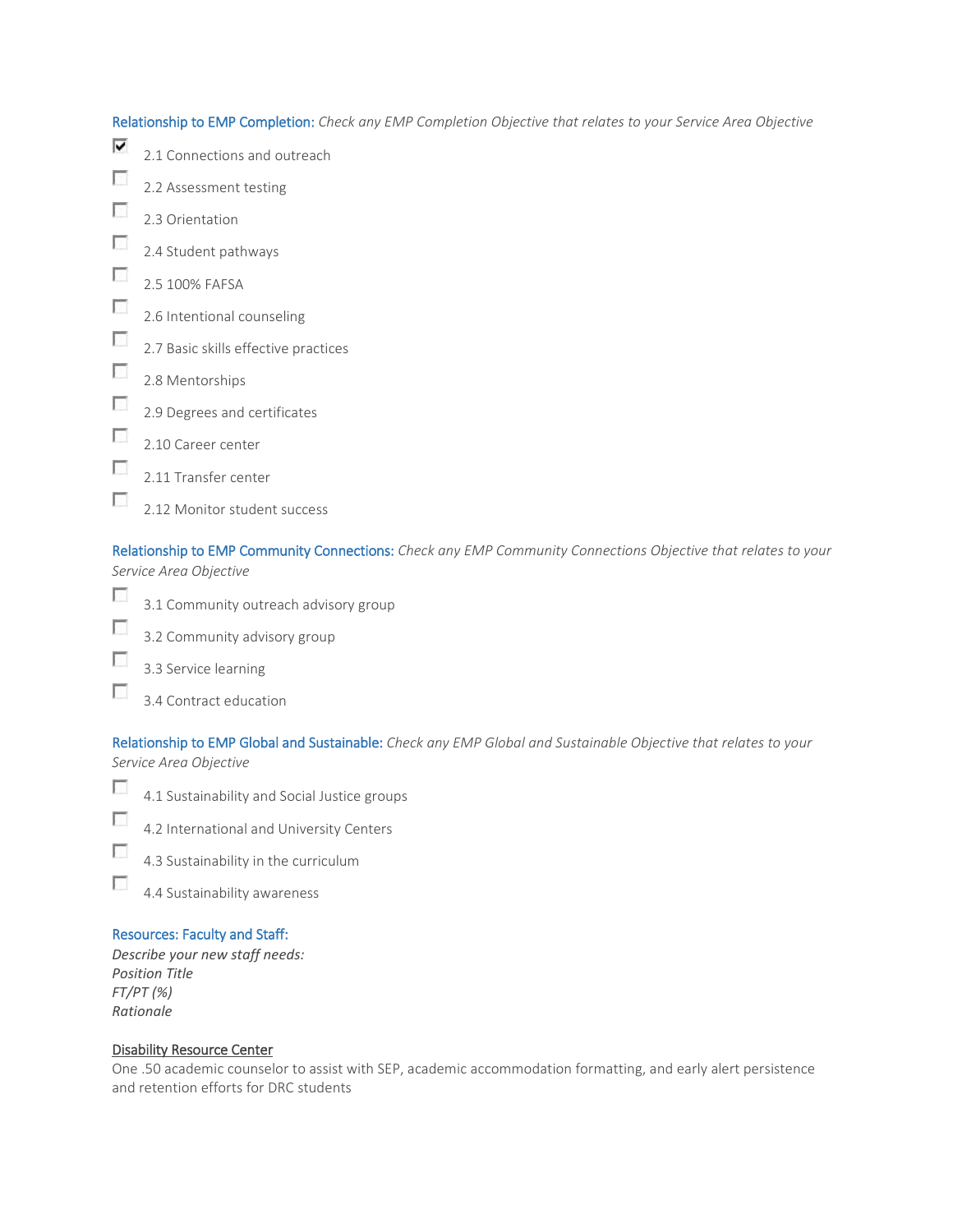$\overline{\mathbf{v}}$ 2.1 Connections and outreach  $\overline{\phantom{a}}$ 2.2 Assessment testing **P** 2.3 Orientation п 2.4 Student pathways  $\overline{\phantom{a}}$ 2.5 100% FAFSA  $\overline{\mathcal{L}}$ 2.6 Intentional counseling  $\overline{\phantom{a}}$ 2.7 Basic skills effective practices  $\sim$ 2.8 Mentorships  $\mathcal{L}_{\mathcal{L}}$ 2.9 Degrees and certificates

- $\overline{\mathcal{L}}$ 2.10 Career center
- $\overline{\mathcal{L}}$ 2.11 Transfer center
- $\overline{\phantom{a}}$ 2.12 Monitor student success

Relationship to EMP Community Connections: *Check any EMP Community Connections Objective that relates to your Service Area Objective*

- F 3.1 Community outreach advisory group
- П 3.2 Community advisory group
- T 3.3 Service learning
- $\overline{\phantom{a}}$ 3.4 Contract education

Relationship to EMP Global and Sustainable: *Check any EMP Global and Sustainable Objective that relates to your Service Area Objective*

- $\overline{\phantom{a}}$ 4.1 Sustainability and Social Justice groups
- $\overline{\mathcal{L}}$ 4.2 International and University Centers
- $\overline{\phantom{a}}$ 4.3 Sustainability in the curriculum
- Ð 4.4 Sustainability awareness

# Resources: Faculty and Staff:

*Describe your new staff needs: Position Title FT/PT (%) Rationale*

## Disability Resource Center

One .50 academic counselor to assist with SEP, academic accommodation formatting, and early alert persistence and retention efforts for DRC students

Relationship to EMP Completion: *Check any EMP Completion Objective that relates to your Service Area Objective*